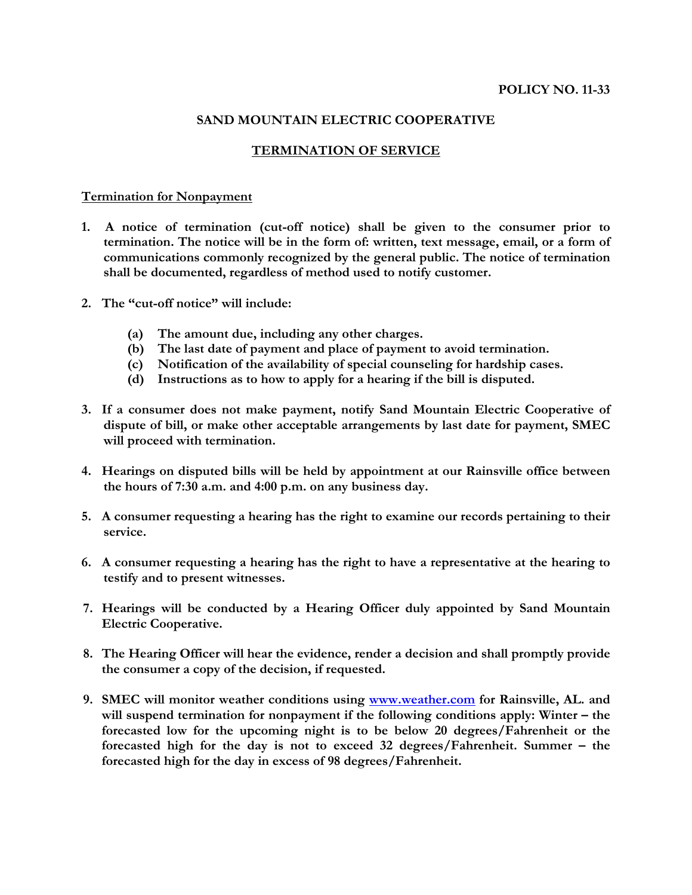# **POLICY NO. 11-33**

# **SAND MOUNTAIN ELECTRIC COOPERATIVE**

## **TERMINATION OF SERVICE**

#### **Termination for Nonpayment**

- **1. A notice of termination (cut-off notice) shall be given to the consumer prior to termination. The notice will be in the form of: written, text message, email, or a form of communications commonly recognized by the general public. The notice of termination shall be documented, regardless of method used to notify customer.**
- **2. The "cut-off notice" will include:**
	- **(a) The amount due, including any other charges.**
	- **(b) The last date of payment and place of payment to avoid termination.**
	- **(c) Notification of the availability of special counseling for hardship cases.**
	- **(d) Instructions as to how to apply for a hearing if the bill is disputed.**
- **3. If a consumer does not make payment, notify Sand Mountain Electric Cooperative of dispute of bill, or make other acceptable arrangements by last date for payment, SMEC will proceed with termination.**
- **4. Hearings on disputed bills will be held by appointment at our Rainsville office between the hours of 7:30 a.m. and 4:00 p.m. on any business day.**
- **5. A consumer requesting a hearing has the right to examine our records pertaining to their service.**
- **6. A consumer requesting a hearing has the right to have a representative at the hearing to testify and to present witnesses.**
- **7. Hearings will be conducted by a Hearing Officer duly appointed by Sand Mountain Electric Cooperative.**
- **8. The Hearing Officer will hear the evidence, render a decision and shall promptly provide the consumer a copy of the decision, if requested.**
- **9. SMEC will monitor weather conditions using www.weather.com for Rainsville, AL. and will suspend termination for nonpayment if the following conditions apply: Winter – the forecasted low for the upcoming night is to be below 20 degrees/Fahrenheit or the forecasted high for the day is not to exceed 32 degrees/Fahrenheit. Summer – the forecasted high for the day in excess of 98 degrees/Fahrenheit.**